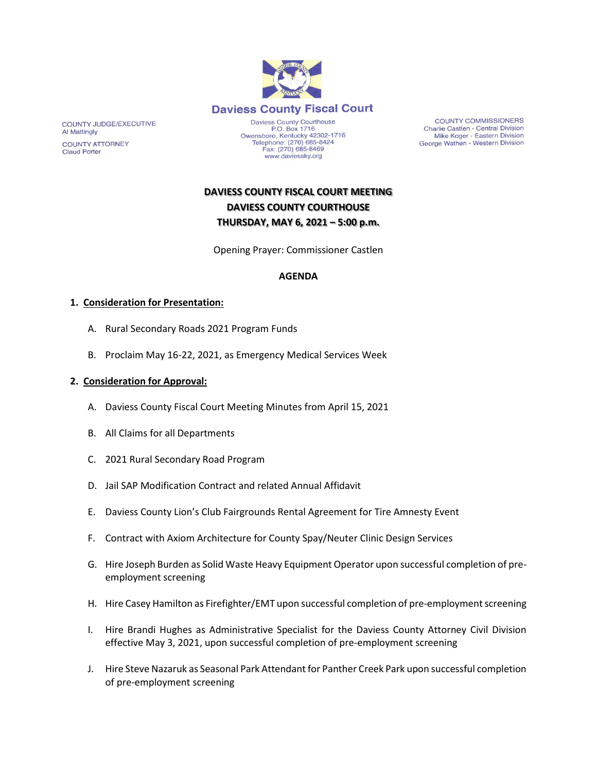

COUNTY JUDGE/EXECUTIVE Al Mattingly

**COUNTY ATTORNEY Claud Porter** 

P.O. Box 1716 P.O. Box 1716<br>Owensboro, Kentucky 42302-1716<br>Telephone: (270) 685-8424 Fax: (270) 685-8469 www.daviessky.org

**COUNTY COMMISSIONERS** Charlie Castlen - Central Division Mike Koger - Eastern Division George Wathen - Western Division

# **DAVIESS COUNTY FISCAL COURT MEETING DAVIESS COUNTY COURTHOUSE THURSDAY, MAY 6, 2021 – 5:00 p.m.**

Opening Prayer: Commissioner Castlen

### **AGENDA**

#### **1. Consideration for Presentation:**

- A. Rural Secondary Roads 2021 Program Funds
- B. Proclaim May 16-22, 2021, as Emergency Medical Services Week

#### **2. Consideration for Approval:**

- A. Daviess County Fiscal Court Meeting Minutes from April 15, 2021
- B. All Claims for all Departments
- C. 2021 Rural Secondary Road Program
- D. Jail SAP Modification Contract and related Annual Affidavit
- E. Daviess County Lion's Club Fairgrounds Rental Agreement for Tire Amnesty Event
- F. Contract with Axiom Architecture for County Spay/Neuter Clinic Design Services
- G. Hire Joseph Burden as Solid Waste Heavy Equipment Operator upon successful completion of preemployment screening
- H. Hire Casey Hamilton as Firefighter/EMT upon successful completion of pre-employment screening
- I. Hire Brandi Hughes as Administrative Specialist for the Daviess County Attorney Civil Division effective May 3, 2021, upon successful completion of pre-employment screening
- J. Hire Steve Nazaruk as Seasonal Park Attendant for Panther Creek Park upon successful completion of pre-employment screening